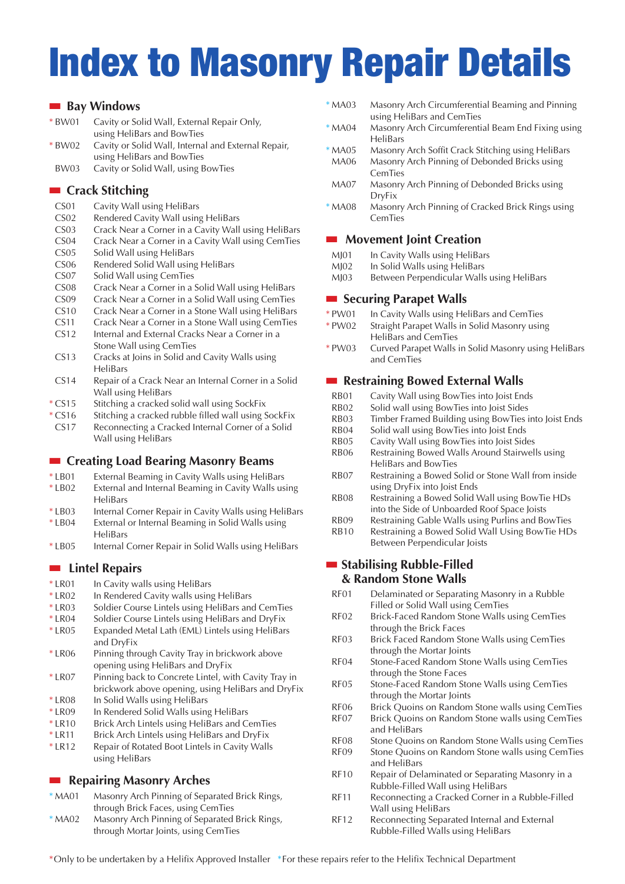# **Index to Masonry Repair Details**

## **■ Bay Windows**

| * BW01 | Cavity or Solid Wall, External Repair Only,         |
|--------|-----------------------------------------------------|
|        | using HeliBars and BowTies                          |
| * BW02 | Cavity or Solid Wall, Internal and External Repair, |
|        | using HeliBars and BowTies                          |

BW03 Cavity or Solid Wall, using BowTies

# **■ Crack Stitching**

- CS01 Cavity Wall using HeliBars
- CS02 Rendered Cavity Wall using HeliBars
- CS03 Crack Near a Corner in a Cavity Wall using HeliBars
- CS04 Crack Near a Corner in a Cavity Wall using CemTies
- CS05 Solid Wall using HeliBars CS06 Rendered Solid Wall using HeliBars
- CS07 Solid Wall using CemTies
- CS08 Crack Near a Corner in a Solid Wall using HeliBars
- CS09 Crack Near a Corner in a Solid Wall using CemTies
- CS10 Crack Near a Corner in a Stone Wall using HeliBars
- CS11 Crack Near a Corner in a Stone Wall using CemTies
- CS12 Internal and External Cracks Near a Corner in a Stone Wall using CemTies
- CS13 Cracks at Joins in Solid and Cavity Walls using HeliBars
- CS14 Repair of a Crack Near an Internal Corner in a Solid Wall using HeliBars
- \* CS15 Stitching a cracked solid wall using SockFix
- \* CS16 Stitching a cracked rubble filled wall using SockFix CS17 Reconnecting a Cracked Internal Corner of a Solid Wall using HeliBars

#### **■ Creating Load Bearing Masonry Beams**

- \* LB01 External Beaming in Cavity Walls using HeliBars
- \* LB02 External and Internal Beaming in Cavity Walls using HeliBars
- \* LB03 Internal Corner Repair in Cavity Walls using HeliBars
- \* LB04 External or Internal Beaming in Solid Walls using HeliBars
- \* LB05 Internal Corner Repair in Solid Walls using HeliBars

# **■ Lintel Repairs**

- \* LR01 In Cavity walls using HeliBars
- \* LR02 In Rendered Cavity walls using HeliBars
- \* LR03 Soldier Course Lintels using HeliBars and CemTies
- \* LR04 Soldier Course Lintels using HeliBars and DryFix
- \* LR05 Expanded Metal Lath (EML) Lintels using HeliBars and DryFix
- \* LR06 Pinning through Cavity Tray in brickwork above opening using HeliBars and DryFix
- \* LR07 Pinning back to Concrete Lintel, with Cavity Tray in brickwork above opening, using HeliBars and DryFix
- \* LR08 In Solid Walls using HeliBars
- \* LR09 In Rendered Solid Walls using HeliBars
- \* LR10 Brick Arch Lintels using HeliBars and CemTies
- \* LR11 Brick Arch Lintels using HeliBars and DryFix
- \* LR12 Repair of Rotated Boot Lintels in Cavity Walls using HeliBars

# **■ Repairing Masonry Arches**

- \* MA01 Masonry Arch Pinning of Separated Brick Rings, through Brick Faces, using CemTies
- \* MA02 Masonry Arch Pinning of Separated Brick Rings, through Mortar Joints, using CemTies
- \* MA03 Masonry Arch Circumferential Beaming and Pinning using HeliBars and CemTies
- \* MA04 Masonry Arch Circumferential Beam End Fixing using HeliBars
- \* MA05 Masonry Arch Soffit Crack Stitching using HeliBars MA06 Masonry Arch Pinning of Debonded Bricks using **CemTies**
- MA07 Masonry Arch Pinning of Debonded Bricks using DryFix
- \* MA08 Masonry Arch Pinning of Cracked Brick Rings using CemTies

#### **■ Movement Joint Creation**

- MJ01 In Cavity Walls using HeliBars
- MJ02 In Solid Walls using HeliBars
- MJ03 Between Perpendicular Walls using HeliBars

#### **■ Securing Parapet Walls**

- \* PW01 In Cavity Walls using HeliBars and CemTies
- \* PW02 Straight Parapet Walls in Solid Masonry using HeliBars and CemTies
- \* PW03 Curved Parapet Walls in Solid Masonry using HeliBars and CemTies

# **■ Restraining Bowed External Walls**

- RB01 Cavity Wall using BowTies into Joist Ends
- RB02 Solid wall using BowTies into Joist Sides
- RB03 Timber Framed Building using BowTies into Joist Ends
- RB04 Solid wall using BowTies into Joist Ends
- RB05 Cavity Wall using BowTies into Joist Sides
- RB06 Restraining Bowed Walls Around Stairwells using HeliBars and BowTies
- RB07 Restraining a Bowed Solid or Stone Wall from inside using DryFix into Joist Ends
- RB08 Restraining a Bowed Solid Wall using BowTie HDs into the Side of Unboarded Roof Space Joists
- RB09 Restraining Gable Walls using Purlins and BowTies
- RB10 Restraining a Bowed Solid Wall Using BowTie HDs Between Perpendicular Joists

### **■ Stabilising Rubble-Filled & Random Stone Walls**

- RF01 Delaminated or Separating Masonry in a Rubble Filled or Solid Wall using CemTies
- RF02 Brick-Faced Random Stone Walls using CemTies through the Brick Faces
- RF03 Brick Faced Random Stone Walls using CemTies through the Mortar Joints
- RF04 Stone-Faced Random Stone Walls using CemTies through the Stone Faces
- RF05 Stone-Faced Random Stone Walls using CemTies through the Mortar Joints
- RF06 Brick Quoins on Random Stone walls using CemTies RF07 Brick Quoins on Random Stone walls using CemTies
- and HeliBars
- RF08 Stone Quoins on Random Stone Walls using CemTies
- RF09 Stone Quoins on Random Stone walls using CemTies and HeliBars
- RF10 Repair of Delaminated or Separating Masonry in a Rubble-Filled Wall using HeliBars
- RF11 Reconnecting a Cracked Corner in a Rubble-Filled Wall using HeliBars
- RF12 Reconnecting Separated Internal and External Rubble-Filled Walls using HeliBars

\*Only to be undertaken by a Helifix Approved Installer \*For these repairs refer to the Helifix Technical Department